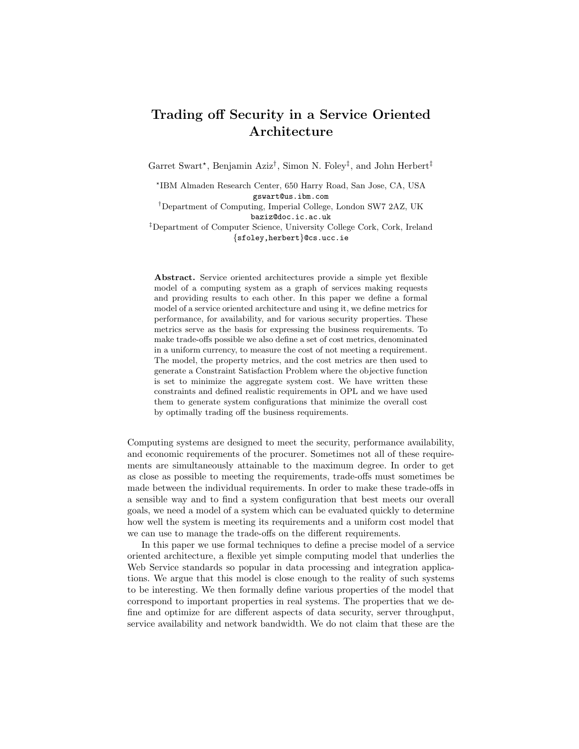# Trading off Security in a Service Oriented Architecture

Garret Swart\*, Benjamin Aziz<sup>†</sup>, Simon N. Foley<sup>‡</sup>, and John Herbert<sup>‡</sup>

? IBM Almaden Research Center, 650 Harry Road, San Jose, CA, USA gswart@us.ibm.com †Department of Computing, Imperial College, London SW7 2AZ, UK baziz@doc.ic.ac.uk

‡Department of Computer Science, University College Cork, Cork, Ireland {sfoley,herbert}@cs.ucc.ie

Abstract. Service oriented architectures provide a simple yet flexible model of a computing system as a graph of services making requests and providing results to each other. In this paper we define a formal model of a service oriented architecture and using it, we define metrics for performance, for availability, and for various security properties. These metrics serve as the basis for expressing the business requirements. To make trade-offs possible we also define a set of cost metrics, denominated in a uniform currency, to measure the cost of not meeting a requirement. The model, the property metrics, and the cost metrics are then used to generate a Constraint Satisfaction Problem where the objective function is set to minimize the aggregate system cost. We have written these constraints and defined realistic requirements in OPL and we have used them to generate system configurations that minimize the overall cost by optimally trading off the business requirements.

Computing systems are designed to meet the security, performance availability, and economic requirements of the procurer. Sometimes not all of these requirements are simultaneously attainable to the maximum degree. In order to get as close as possible to meeting the requirements, trade-offs must sometimes be made between the individual requirements. In order to make these trade-offs in a sensible way and to find a system configuration that best meets our overall goals, we need a model of a system which can be evaluated quickly to determine how well the system is meeting its requirements and a uniform cost model that we can use to manage the trade-offs on the different requirements.

In this paper we use formal techniques to define a precise model of a service oriented architecture, a flexible yet simple computing model that underlies the Web Service standards so popular in data processing and integration applications. We argue that this model is close enough to the reality of such systems to be interesting. We then formally define various properties of the model that correspond to important properties in real systems. The properties that we define and optimize for are different aspects of data security, server throughput, service availability and network bandwidth. We do not claim that these are the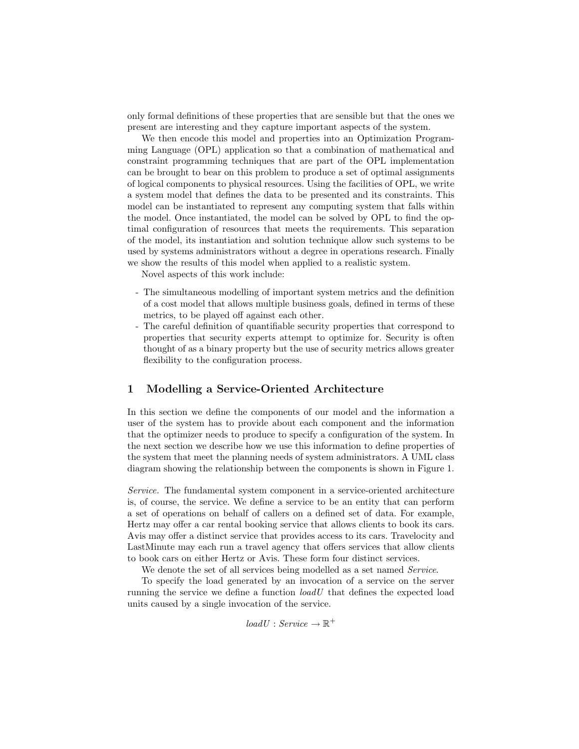only formal definitions of these properties that are sensible but that the ones we present are interesting and they capture important aspects of the system.

We then encode this model and properties into an Optimization Programming Language (OPL) application so that a combination of mathematical and constraint programming techniques that are part of the OPL implementation can be brought to bear on this problem to produce a set of optimal assignments of logical components to physical resources. Using the facilities of OPL, we write a system model that defines the data to be presented and its constraints. This model can be instantiated to represent any computing system that falls within the model. Once instantiated, the model can be solved by OPL to find the optimal configuration of resources that meets the requirements. This separation of the model, its instantiation and solution technique allow such systems to be used by systems administrators without a degree in operations research. Finally we show the results of this model when applied to a realistic system.

Novel aspects of this work include:

- The simultaneous modelling of important system metrics and the definition of a cost model that allows multiple business goals, defined in terms of these metrics, to be played off against each other.
- The careful definition of quantifiable security properties that correspond to properties that security experts attempt to optimize for. Security is often thought of as a binary property but the use of security metrics allows greater flexibility to the configuration process.

# 1 Modelling a Service-Oriented Architecture

In this section we define the components of our model and the information a user of the system has to provide about each component and the information that the optimizer needs to produce to specify a configuration of the system. In the next section we describe how we use this information to define properties of the system that meet the planning needs of system administrators. A UML class diagram showing the relationship between the components is shown in Figure 1.

Service. The fundamental system component in a service-oriented architecture is, of course, the service. We define a service to be an entity that can perform a set of operations on behalf of callers on a defined set of data. For example, Hertz may offer a car rental booking service that allows clients to book its cars. Avis may offer a distinct service that provides access to its cars. Travelocity and LastMinute may each run a travel agency that offers services that allow clients to book cars on either Hertz or Avis. These form four distinct services.

We denote the set of all services being modelled as a set named *Service*.

To specify the load generated by an invocation of a service on the server running the service we define a function  $loadU$  that defines the expected load units caused by a single invocation of the service.

 $loadU : Service \rightarrow \mathbb{R}^+$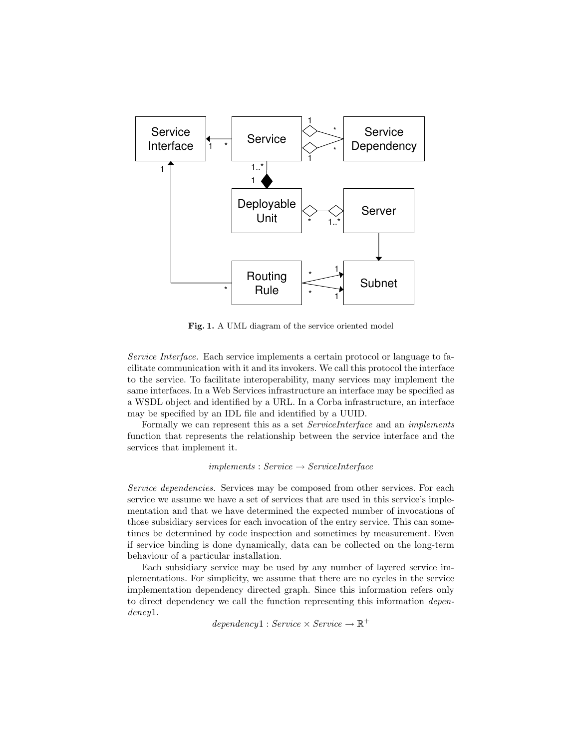

Fig. 1. A UML diagram of the service oriented model

Service Interface. Each service implements a certain protocol or language to facilitate communication with it and its invokers. We call this protocol the interface to the service. To facilitate interoperability, many services may implement the same interfaces. In a Web Services infrastructure an interface may be specified as a WSDL object and identified by a URL. In a Corba infrastructure, an interface may be specified by an IDL file and identified by a UUID.

Formally we can represent this as a set ServiceInterface and an *implements* function that represents the relationship between the service interface and the services that implement it.

#### $implements: Service \rightarrow ServiceInterface$

Service dependencies. Services may be composed from other services. For each service we assume we have a set of services that are used in this service's implementation and that we have determined the expected number of invocations of those subsidiary services for each invocation of the entry service. This can sometimes be determined by code inspection and sometimes by measurement. Even if service binding is done dynamically, data can be collected on the long-term behaviour of a particular installation.

Each subsidiary service may be used by any number of layered service implementations. For simplicity, we assume that there are no cycles in the service implementation dependency directed graph. Since this information refers only to direct dependency we call the function representing this information dependency1.

 $dependency1: Service \times Service \rightarrow \mathbb{R}^+$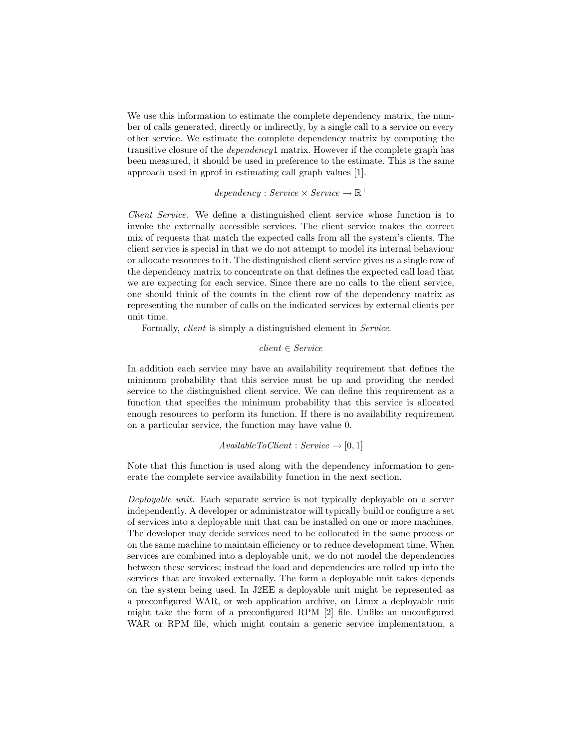We use this information to estimate the complete dependency matrix, the number of calls generated, directly or indirectly, by a single call to a service on every other service. We estimate the complete dependency matrix by computing the transitive closure of the dependency1 matrix. However if the complete graph has been measured, it should be used in preference to the estimate. This is the same approach used in gprof in estimating call graph values [1].

# $dependency: Service \times Service \rightarrow \mathbb{R}^+$

Client Service. We define a distinguished client service whose function is to invoke the externally accessible services. The client service makes the correct mix of requests that match the expected calls from all the system's clients. The client service is special in that we do not attempt to model its internal behaviour or allocate resources to it. The distinguished client service gives us a single row of the dependency matrix to concentrate on that defines the expected call load that we are expecting for each service. Since there are no calls to the client service, one should think of the counts in the client row of the dependency matrix as representing the number of calls on the indicated services by external clients per unit time.

Formally, client is simply a distinguished element in Service.

#### client ∈ Service

In addition each service may have an availability requirement that defines the minimum probability that this service must be up and providing the needed service to the distinguished client service. We can define this requirement as a function that specifies the minimum probability that this service is allocated enough resources to perform its function. If there is no availability requirement on a particular service, the function may have value 0.

# $Available To Client : Service \rightarrow [0, 1]$

Note that this function is used along with the dependency information to generate the complete service availability function in the next section.

Deployable unit. Each separate service is not typically deployable on a server independently. A developer or administrator will typically build or configure a set of services into a deployable unit that can be installed on one or more machines. The developer may decide services need to be collocated in the same process or on the same machine to maintain efficiency or to reduce development time. When services are combined into a deployable unit, we do not model the dependencies between these services; instead the load and dependencies are rolled up into the services that are invoked externally. The form a deployable unit takes depends on the system being used. In J2EE a deployable unit might be represented as a preconfigured WAR, or web application archive, on Linux a deployable unit might take the form of a preconfigured RPM [2] file. Unlike an unconfigured WAR or RPM file, which might contain a generic service implementation, a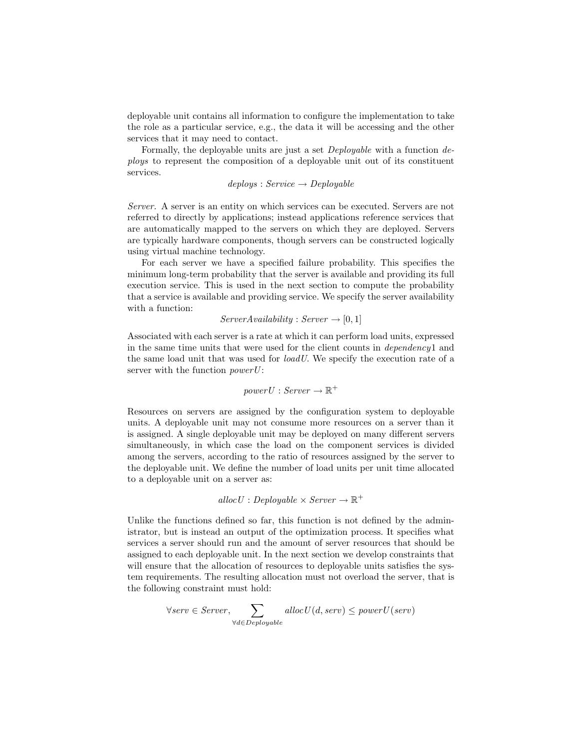deployable unit contains all information to configure the implementation to take the role as a particular service, e.g., the data it will be accessing and the other services that it may need to contact.

Formally, the deployable units are just a set Deployable with a function deploys to represent the composition of a deployable unit out of its constituent services.

#### $dep{}|oys : Service \rightarrow Dep{}|oyable$

Server. A server is an entity on which services can be executed. Servers are not referred to directly by applications; instead applications reference services that are automatically mapped to the servers on which they are deployed. Servers are typically hardware components, though servers can be constructed logically using virtual machine technology.

For each server we have a specified failure probability. This specifies the minimum long-term probability that the server is available and providing its full execution service. This is used in the next section to compute the probability that a service is available and providing service. We specify the server availability with a function:

# $ServerAvailability: Server \rightarrow [0,1]$

Associated with each server is a rate at which it can perform load units, expressed in the same time units that were used for the client counts in dependency1 and the same load unit that was used for loadU. We specify the execution rate of a server with the function  $powerU$ :

# $powerU:Server \rightarrow \mathbb{R}^+$

Resources on servers are assigned by the configuration system to deployable units. A deployable unit may not consume more resources on a server than it is assigned. A single deployable unit may be deployed on many different servers simultaneously, in which case the load on the component services is divided among the servers, according to the ratio of resources assigned by the server to the deployable unit. We define the number of load units per unit time allocated to a deployable unit on a server as:

$$
allocU: Deployable \times Server \rightarrow \mathbb{R}^+
$$

Unlike the functions defined so far, this function is not defined by the administrator, but is instead an output of the optimization process. It specifies what services a server should run and the amount of server resources that should be assigned to each deployable unit. In the next section we develop constraints that will ensure that the allocation of resources to deployable units satisfies the system requirements. The resulting allocation must not overload the server, that is the following constraint must hold:

$$
\forall server \in Server, \sum_{\forall d \in Deployable}allocU(d, serv) \leq powerU(serv)
$$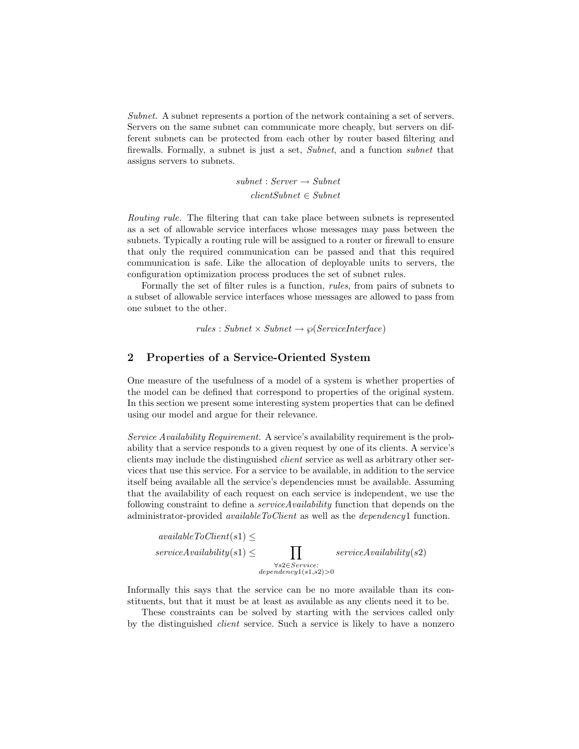Subnet. A subnet represents a portion of the network containing a set of servers. Servers on the same subnet can communicate more cheaply, but servers on different subnets can be protected from each other by router based filtering and firewalls. Formally, a subnet is just a set, Subnet, and a function subnet that assigns servers to subnets.

 $subnet : Server \rightarrow Subnet$ 

 $clientSubnet \in Subnet$ 

Routing rule. The filtering that can take place between subnets is represented as a set of allowable service interfaces whose messages may pass between the subnets. Typically a routing rule will be assigned to a router or firewall to ensure that only the required communication can be passed and that this required communication is safe. Like the allocation of deployable units to servers, the configuration optimization process produces the set of subnet rules.

Formally the set of filter rules is a function, rules, from pairs of subnets to a subset of allowable service interfaces whose messages are allowed to pass from one subnet to the other.

 $rules: Subnet \times Subnet \rightarrow \wp(ServeInterface)$ 

## 2 Properties of a Service-Oriented System

One measure of the usefulness of a model of a system is whether properties of the model can be defined that correspond to properties of the original system. In this section we present some interesting system properties that can be defined using our model and argue for their relevance.

Service Availability Requirement. A service's availability requirement is the probability that a service responds to a given request by one of its clients. A service's clients may include the distinguished client service as well as arbitrary other services that use this service. For a service to be available, in addition to the service itself being available all the service's dependencies must be available. Assuming that the availability of each request on each service is independent, we use the following constraint to define a serviceAvailability function that depends on the administrator-provided *availableToClient* as well as the *dependency* 1 function.



Informally this says that the service can be no more available than its constituents, but that it must be at least as available as any clients need it to be.

These constraints can be solved by starting with the services called only by the distinguished client service. Such a service is likely to have a nonzero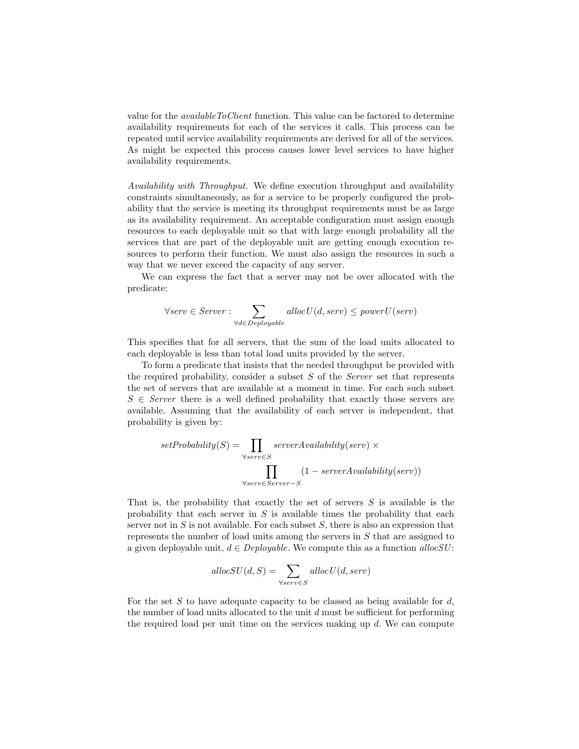value for the *available ToClient* function. This value can be factored to determine availability requirements for each of the services it calls. This process can be repeated until service availability requirements are derived for all of the services. As might be expected this process causes lower level services to have higher availability requirements.

Availability with Throughput. We define execution throughput and availability constraints simultaneously, as for a service to be properly configured the probability that the service is meeting its throughput requirements must be as large as its availability requirement. An acceptable configuration must assign enough resources to each deployable unit so that with large enough probability all the services that are part of the deployable unit are getting enough execution resources to perform their function. We must also assign the resources in such a way that we never exceed the capacity of any server.

We can express the fact that a server may not be over allocated with the predicate:

$$
\forall server \in Server: \sum_{\forall d \in Deplogable}allocU(d,serv) \leq powerU(serv)
$$

This specifies that for all servers, that the sum of the load units allocated to each deployable is less than total load units provided by the server.

To form a predicate that insists that the needed throughput be provided with the required probability, consider a subset  $S$  of the *Server* set that represents the set of servers that are available at a moment in time. For each such subset  $S \in Server$  there is a well defined probability that exactly those servers are available. Assuming that the availability of each server is independent, that probability is given by:

$$
setProbability(S) = \prod_{\forall server \in S} serverAvailableility(serv) \times \prod_{\forall server \in Server} (1 - serverAvailableility(serv))
$$

That is, the probability that exactly the set of servers  $S$  is available is the probability that each server in  $S$  is available times the probability that each server not in  $S$  is not available. For each subset  $S$ , there is also an expression that represents the number of load units among the servers in S that are assigned to a given deployable unit,  $d \in \text{Deplogable}$ . We compute this as a function allocSU:

$$
allocSU(d, S) = \sum_{\forall serve \in S}allocU(d, serve)
$$

For the set S to have adequate capacity to be classed as being available for  $d$ , the number of load units allocated to the unit  $d$  must be sufficient for performing the required load per unit time on the services making up d. We can compute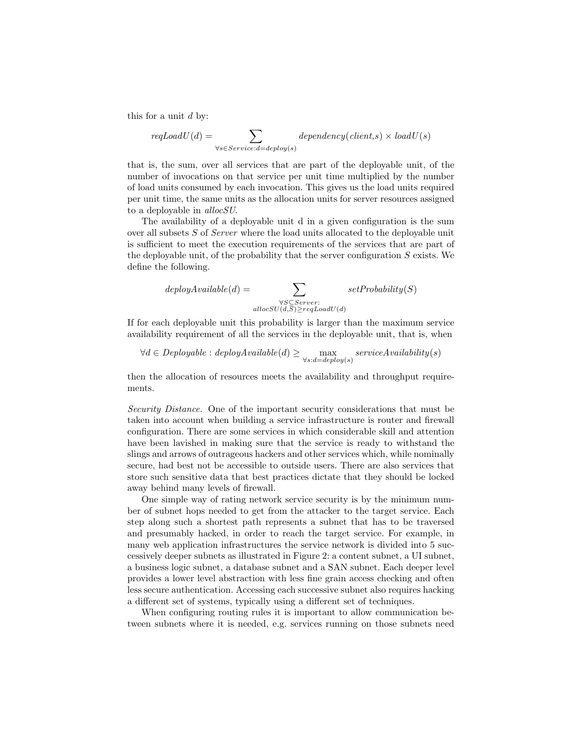this for a unit  $d$  by:

$$
reqLoadU(d) = \sum_{\forall s \in Service: d = deploy(s)} dependency(client, s) \times loadU(s)
$$

that is, the sum, over all services that are part of the deployable unit, of the number of invocations on that service per unit time multiplied by the number of load units consumed by each invocation. This gives us the load units required per unit time, the same units as the allocation units for server resources assigned to a deployable in allocSU.

The availability of a deployable unit d in a given configuration is the sum over all subsets S of Server where the load units allocated to the deployable unit is sufficient to meet the execution requirements of the services that are part of the deployable unit, of the probability that the server configuration  $S$  exists. We define the following.

$$
de p logAvailable(d) = \sum_{\substack{\forall S \subseteq Server:\\allocSU(d, \overline{S}) \geq reqLoad U(d)}} setProbability(S)
$$

If for each deployable unit this probability is larger than the maximum service availability requirement of all the services in the deployable unit, that is, when

 $\forall d \in Deployable : de ployAvailable(d) \ge \max_{\forall s: d=de ploy(s)} serviceAvailable(l(s))$ 

then the allocation of resources meets the availability and throughput requirements.

Security Distance. One of the important security considerations that must be taken into account when building a service infrastructure is router and firewall configuration. There are some services in which considerable skill and attention have been lavished in making sure that the service is ready to withstand the slings and arrows of outrageous hackers and other services which, while nominally secure, had best not be accessible to outside users. There are also services that store such sensitive data that best practices dictate that they should be locked away behind many levels of firewall.

One simple way of rating network service security is by the minimum number of subnet hops needed to get from the attacker to the target service. Each step along such a shortest path represents a subnet that has to be traversed and presumably hacked, in order to reach the target service. For example, in many web application infrastructures the service network is divided into 5 successively deeper subnets as illustrated in Figure 2: a content subnet, a UI subnet, a business logic subnet, a database subnet and a SAN subnet. Each deeper level provides a lower level abstraction with less fine grain access checking and often less secure authentication. Accessing each successive subnet also requires hacking a different set of systems, typically using a different set of techniques.

When configuring routing rules it is important to allow communication between subnets where it is needed, e.g. services running on those subnets need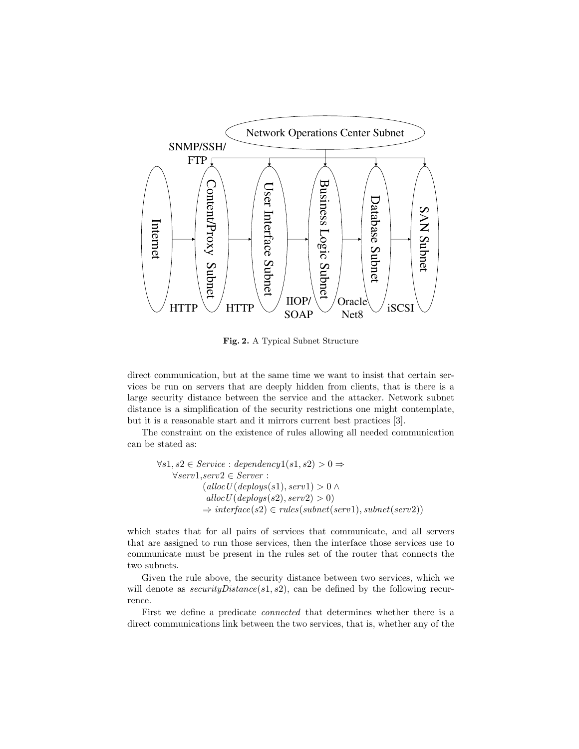

Fig. 2. A Typical Subnet Structure

direct communication, but at the same time we want to insist that certain services be run on servers that are deeply hidden from clients, that is there is a large security distance between the service and the attacker. Network subnet distance is a simplification of the security restrictions one might contemplate, but it is a reasonable start and it mirrors current best practices [3].

The constraint on the existence of rules allowing all needed communication can be stated as:

 $\forall s1, s2 \in Service : dependency1(s1, s2) > 0 \Rightarrow$  $\forall serv1, serv2 \in Server:$  $(allocU(deplays(s1),serv1) > 0 \land$  $allocU(deplays(s2),serv2) > 0)$  $\Rightarrow$  interface(s2)  $\in$  rules(subnet(serv1), subnet(serv2))

which states that for all pairs of services that communicate, and all servers that are assigned to run those services, then the interface those services use to communicate must be present in the rules set of the router that connects the two subnets.

Given the rule above, the security distance between two services, which we will denote as  $securityDistance(s1, s2)$ , can be defined by the following recurrence.

First we define a predicate connected that determines whether there is a direct communications link between the two services, that is, whether any of the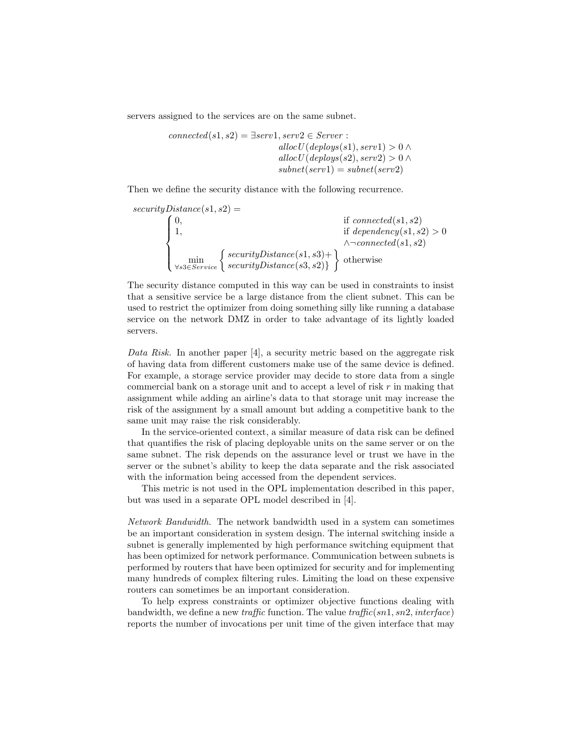servers assigned to the services are on the same subnet.

$$
connected(s1, s2) = \exists serv1, serv2 \in Server :
$$
  
\n
$$
allocU(deplots(s1), serv1) > 0 \land
$$
  
\n
$$
allocU(deplots(s2), serv2) > 0 \land
$$
  
\n
$$
subnet(serv1) = subnet(serv2)
$$

Then we define the security distance with the following recurrence.

$$
security Distance(s1, s2) = \n\begin{cases}\n0, & \text{if connected}(s1, s2) \\
1, & \text{if dependent}(s1, s2) > 0 \\
1, & \text{if dependent}(s1, s2) > 0 \\
\min_{\forall s3 \in Service} \left\{ \frac{securityDistance(s1, s3)}{securityDistance(s3, s2)} \right\} \text{otherwise}\n\end{cases}
$$

The security distance computed in this way can be used in constraints to insist that a sensitive service be a large distance from the client subnet. This can be used to restrict the optimizer from doing something silly like running a database service on the network DMZ in order to take advantage of its lightly loaded servers.

Data Risk. In another paper [4], a security metric based on the aggregate risk of having data from different customers make use of the same device is defined. For example, a storage service provider may decide to store data from a single commercial bank on a storage unit and to accept a level of risk  $r$  in making that assignment while adding an airline's data to that storage unit may increase the risk of the assignment by a small amount but adding a competitive bank to the same unit may raise the risk considerably.

In the service-oriented context, a similar measure of data risk can be defined that quantifies the risk of placing deployable units on the same server or on the same subnet. The risk depends on the assurance level or trust we have in the server or the subnet's ability to keep the data separate and the risk associated with the information being accessed from the dependent services.

This metric is not used in the OPL implementation described in this paper, but was used in a separate OPL model described in [4].

Network Bandwidth. The network bandwidth used in a system can sometimes be an important consideration in system design. The internal switching inside a subnet is generally implemented by high performance switching equipment that has been optimized for network performance. Communication between subnets is performed by routers that have been optimized for security and for implementing many hundreds of complex filtering rules. Limiting the load on these expensive routers can sometimes be an important consideration.

To help express constraints or optimizer objective functions dealing with bandwidth, we define a new *traffic* function. The value  $traffic(sn1, sn2, interface)$ reports the number of invocations per unit time of the given interface that may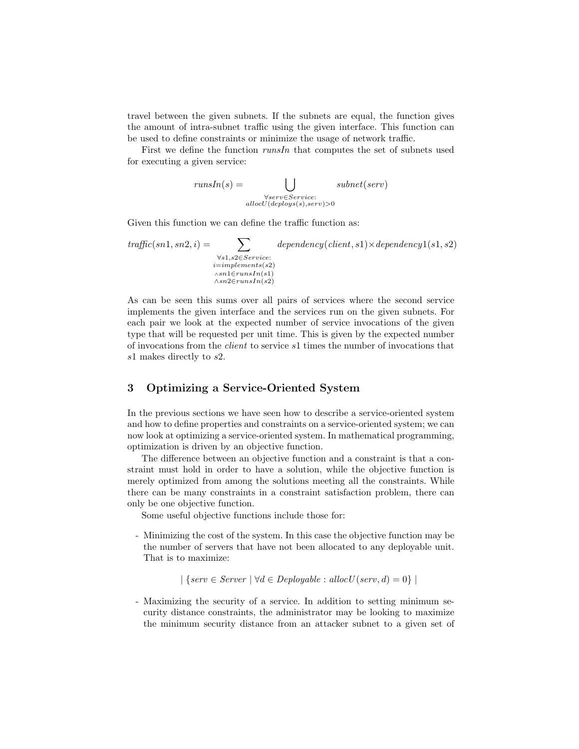travel between the given subnets. If the subnets are equal, the function gives the amount of intra-subnet traffic using the given interface. This function can be used to define constraints or minimize the usage of network traffic.

First we define the function *runsIn* that computes the set of subnets used for executing a given service:

$$
runsIn(s) = \bigcup_{\substack{\forall serveService: \\ allocU(deplots(s),serv) > 0}} subnet(serv)
$$

Given this function we can define the traffic function as:

$$
traffic(sn1, sn2, i) = \sum_{\substack{\forall s1, s2 \in Service:\\i= implements(s2)\\nsn1 \in runsIn(s1)\\nsn2 \in runsIn(s2)}}dependentcj(client, s1) \times dependentcyl(s1, s2)
$$

As can be seen this sums over all pairs of services where the second service implements the given interface and the services run on the given subnets. For each pair we look at the expected number of service invocations of the given type that will be requested per unit time. This is given by the expected number of invocations from the *client* to service  $s1$  times the number of invocations that s1 makes directly to s2.

# 3 Optimizing a Service-Oriented System

In the previous sections we have seen how to describe a service-oriented system and how to define properties and constraints on a service-oriented system; we can now look at optimizing a service-oriented system. In mathematical programming, optimization is driven by an objective function.

The difference between an objective function and a constraint is that a constraint must hold in order to have a solution, while the objective function is merely optimized from among the solutions meeting all the constraints. While there can be many constraints in a constraint satisfaction problem, there can only be one objective function.

Some useful objective functions include those for:

- Minimizing the cost of the system. In this case the objective function may be the number of servers that have not been allocated to any deployable unit. That is to maximize:

 $\{ \text{Server } | \forall d \in \text{Deplouable} : \text{alloc} \cup \text{server}, d\} = 0 \}$ 

- Maximizing the security of a service. In addition to setting minimum security distance constraints, the administrator may be looking to maximize the minimum security distance from an attacker subnet to a given set of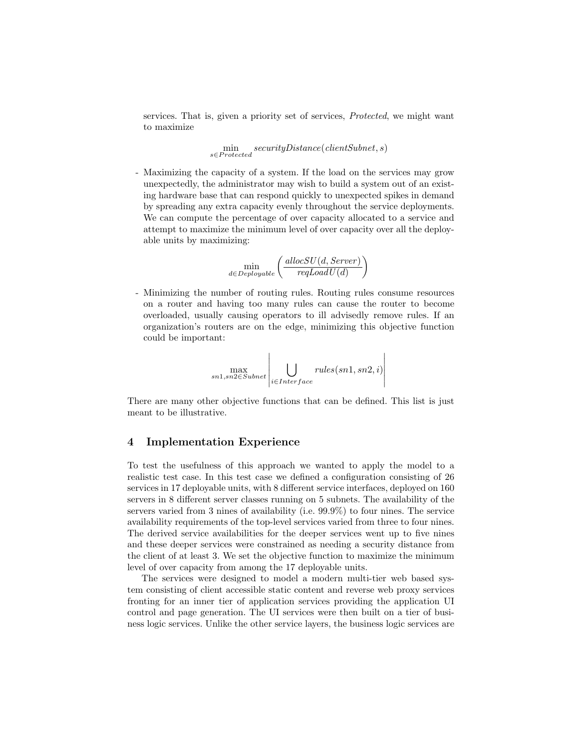services. That is, given a priority set of services, Protected, we might want to maximize

$$
\min_{s \in \mathit{Protected}} \mathit{securityDistance}(\mathit{clientSubnet}, s)
$$

- Maximizing the capacity of a system. If the load on the services may grow unexpectedly, the administrator may wish to build a system out of an existing hardware base that can respond quickly to unexpected spikes in demand by spreading any extra capacity evenly throughout the service deployments. We can compute the percentage of over capacity allocated to a service and attempt to maximize the minimum level of over capacity over all the deployable units by maximizing:

$$
\min_{d \in Deployable} \left( \frac{allocSU(d,Server)}{reqLoadU(d)} \right)
$$

- Minimizing the number of routing rules. Routing rules consume resources on a router and having too many rules can cause the router to become overloaded, usually causing operators to ill advisedly remove rules. If an organization's routers are on the edge, minimizing this objective function could be important:

$$
\max_{sn1, sn2 \in Subnet} \left| \bigcup_{i \in Interface} rules(sn1, sn2, i) \right|
$$

There are many other objective functions that can be defined. This list is just meant to be illustrative.

 $\mathbf{r}$ 

# 4 Implementation Experience

To test the usefulness of this approach we wanted to apply the model to a realistic test case. In this test case we defined a configuration consisting of 26 services in 17 deployable units, with 8 different service interfaces, deployed on 160 servers in 8 different server classes running on 5 subnets. The availability of the servers varied from 3 nines of availability (i.e. 99.9%) to four nines. The service availability requirements of the top-level services varied from three to four nines. The derived service availabilities for the deeper services went up to five nines and these deeper services were constrained as needing a security distance from the client of at least 3. We set the objective function to maximize the minimum level of over capacity from among the 17 deployable units.

The services were designed to model a modern multi-tier web based system consisting of client accessible static content and reverse web proxy services fronting for an inner tier of application services providing the application UI control and page generation. The UI services were then built on a tier of business logic services. Unlike the other service layers, the business logic services are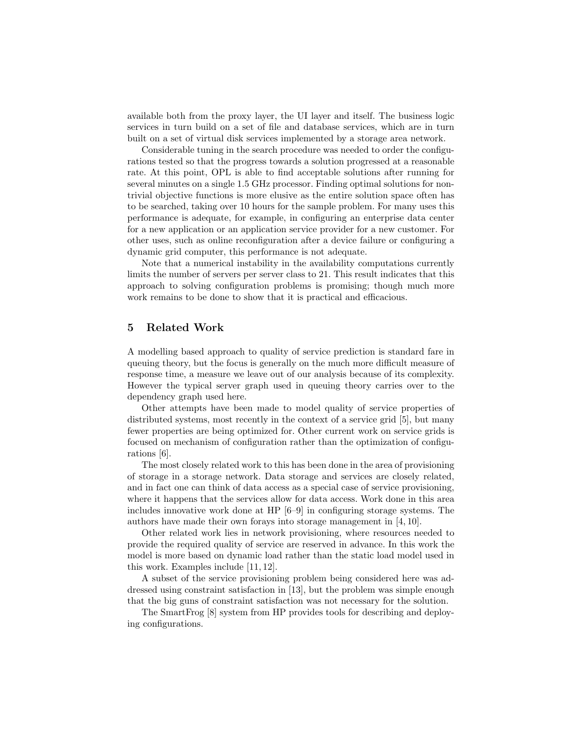available both from the proxy layer, the UI layer and itself. The business logic services in turn build on a set of file and database services, which are in turn built on a set of virtual disk services implemented by a storage area network.

Considerable tuning in the search procedure was needed to order the configurations tested so that the progress towards a solution progressed at a reasonable rate. At this point, OPL is able to find acceptable solutions after running for several minutes on a single 1.5 GHz processor. Finding optimal solutions for nontrivial objective functions is more elusive as the entire solution space often has to be searched, taking over 10 hours for the sample problem. For many uses this performance is adequate, for example, in configuring an enterprise data center for a new application or an application service provider for a new customer. For other uses, such as online reconfiguration after a device failure or configuring a dynamic grid computer, this performance is not adequate.

Note that a numerical instability in the availability computations currently limits the number of servers per server class to 21. This result indicates that this approach to solving configuration problems is promising; though much more work remains to be done to show that it is practical and efficacious.

# 5 Related Work

A modelling based approach to quality of service prediction is standard fare in queuing theory, but the focus is generally on the much more difficult measure of response time, a measure we leave out of our analysis because of its complexity. However the typical server graph used in queuing theory carries over to the dependency graph used here.

Other attempts have been made to model quality of service properties of distributed systems, most recently in the context of a service grid [5], but many fewer properties are being optimized for. Other current work on service grids is focused on mechanism of configuration rather than the optimization of configurations [6].

The most closely related work to this has been done in the area of provisioning of storage in a storage network. Data storage and services are closely related, and in fact one can think of data access as a special case of service provisioning, where it happens that the services allow for data access. Work done in this area includes innovative work done at HP [6–9] in configuring storage systems. The authors have made their own forays into storage management in [4, 10].

Other related work lies in network provisioning, where resources needed to provide the required quality of service are reserved in advance. In this work the model is more based on dynamic load rather than the static load model used in this work. Examples include [11, 12].

A subset of the service provisioning problem being considered here was addressed using constraint satisfaction in [13], but the problem was simple enough that the big guns of constraint satisfaction was not necessary for the solution.

The SmartFrog [8] system from HP provides tools for describing and deploying configurations.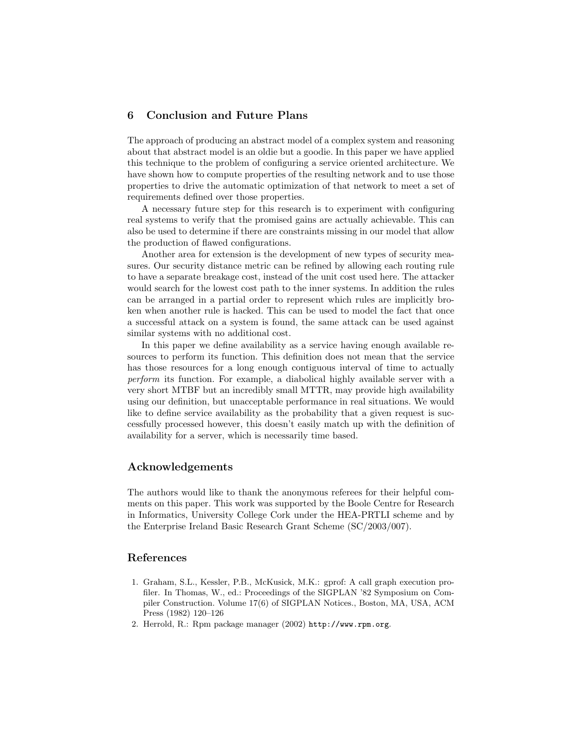# 6 Conclusion and Future Plans

The approach of producing an abstract model of a complex system and reasoning about that abstract model is an oldie but a goodie. In this paper we have applied this technique to the problem of configuring a service oriented architecture. We have shown how to compute properties of the resulting network and to use those properties to drive the automatic optimization of that network to meet a set of requirements defined over those properties.

A necessary future step for this research is to experiment with configuring real systems to verify that the promised gains are actually achievable. This can also be used to determine if there are constraints missing in our model that allow the production of flawed configurations.

Another area for extension is the development of new types of security measures. Our security distance metric can be refined by allowing each routing rule to have a separate breakage cost, instead of the unit cost used here. The attacker would search for the lowest cost path to the inner systems. In addition the rules can be arranged in a partial order to represent which rules are implicitly broken when another rule is hacked. This can be used to model the fact that once a successful attack on a system is found, the same attack can be used against similar systems with no additional cost.

In this paper we define availability as a service having enough available resources to perform its function. This definition does not mean that the service has those resources for a long enough contiguous interval of time to actually perform its function. For example, a diabolical highly available server with a very short MTBF but an incredibly small MTTR, may provide high availability using our definition, but unacceptable performance in real situations. We would like to define service availability as the probability that a given request is successfully processed however, this doesn't easily match up with the definition of availability for a server, which is necessarily time based.

# Acknowledgements

The authors would like to thank the anonymous referees for their helpful comments on this paper. This work was supported by the Boole Centre for Research in Informatics, University College Cork under the HEA-PRTLI scheme and by the Enterprise Ireland Basic Research Grant Scheme (SC/2003/007).

## References

- 1. Graham, S.L., Kessler, P.B., McKusick, M.K.: gprof: A call graph execution profiler. In Thomas, W., ed.: Proceedings of the SIGPLAN '82 Symposium on Compiler Construction. Volume 17(6) of SIGPLAN Notices., Boston, MA, USA, ACM Press (1982) 120–126
- 2. Herrold, R.: Rpm package manager (2002) http://www.rpm.org.